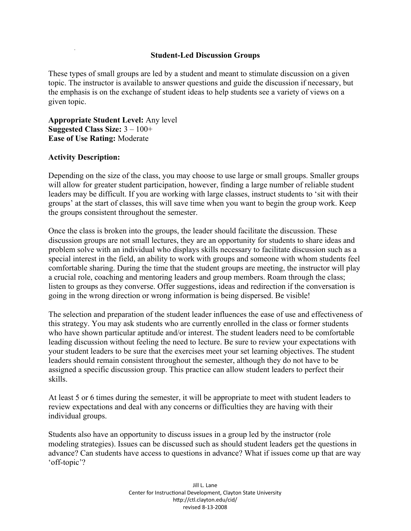## **Student-Led Discussion Groups**

These types of small groups are led by a student and meant to stimulate discussion on a given topic. The instructor is available to answer questions and guide the discussion if necessary, but the emphasis is on the exchange of student ideas to help students see a variety of views on a given topic.

**Appropriate Student Level:** Any level **Suggested Class Size:** 3 – 100+ **Ease of Use Rating:** Moderate

## **Activity Description:**

Depending on the size of the class, you may choose to use large or small groups. Smaller groups will allow for greater student participation, however, finding a large number of reliable student leaders may be difficult. If you are working with large classes, instruct students to 'sit with their groups' at the start of classes, this will save time when you want to begin the group work. Keep the groups consistent throughout the semester.

Once the class is broken into the groups, the leader should facilitate the discussion. These discussion groups are not small lectures, they are an opportunity for students to share ideas and problem solve with an individual who displays skills necessary to facilitate discussion such as a special interest in the field, an ability to work with groups and someone with whom students feel comfortable sharing. During the time that the student groups are meeting, the instructor will play a crucial role, coaching and mentoring leaders and group members. Roam through the class; listen to groups as they converse. Offer suggestions, ideas and redirection if the conversation is going in the wrong direction or wrong information is being dispersed. Be visible!

The selection and preparation of the student leader influences the ease of use and effectiveness of this strategy. You may ask students who are currently enrolled in the class or former students who have shown particular aptitude and/or interest. The student leaders need to be comfortable leading discussion without feeling the need to lecture. Be sure to review your expectations with your student leaders to be sure that the exercises meet your set learning objectives. The student leaders should remain consistent throughout the semester, although they do not have to be assigned a specific discussion group. This practice can allow student leaders to perfect their skills.

At least 5 or 6 times during the semester, it will be appropriate to meet with student leaders to review expectations and deal with any concerns or difficulties they are having with their individual groups.

Students also have an opportunity to discuss issues in a group led by the instructor (role modeling strategies). Issues can be discussed such as should student leaders get the questions in advance? Can students have access to questions in advance? What if issues come up that are way 'off-topic'?